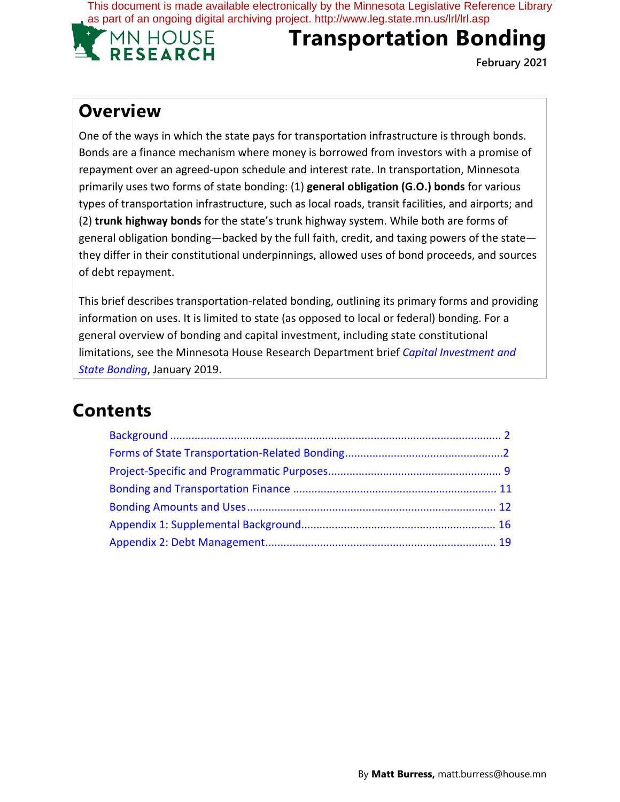This document is made available electronically by the Minnesota Legislative Reference Library as part of an ongoing digital archiving project. http://www.leg.state.mn.us/lrl/lrl.asp



# **Transportation Bonding**

**February 2021**

# **Overview**

One of the ways in which the state pays for transportation infrastructure is through bonds. Bonds are a finance mechanism where money is borrowed from investors with a promise of repayment over an agreed-upon schedule and interest rate. In transportation, Minnesota primarily uses two forms of state bonding: (1) **general obligation (G.O.) bonds** for various types of transportation infrastructure, such as local roads, transit facilities, and airports; and (2) **trunk highway bonds** for the state's trunk highway system. While both are forms of general obligation bonding—backed by the full faith, credit, and taxing powers of the state they differ in their constitutional underpinnings, allowed uses of bond proceeds, and sources of debt repayment.

This brief describes transportation-related bonding, outlining its primary forms and providing information on uses. It is limited to state (as opposed to local or federal) bonding. For a general overview of bonding and capital investment, including state constitutional limitations, see the Minnesota House Research Department brief *Capital Investment and State Bonding*, January 2019.

# **Contents**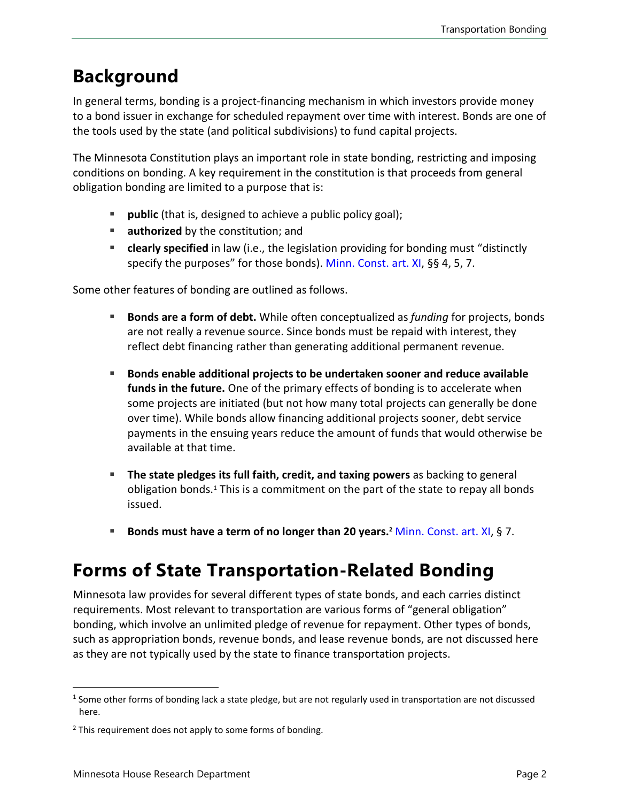# **Background**

In general terms, bonding is a project-financing mechanism in which investors provide money to a bond issuer in exchange for scheduled repayment over time with interest. Bonds are one of the tools used by the state (and political subdivisions) to fund capital projects.

The Minnesota Constitution plays an important role in state bonding, restricting and imposing conditions on bonding. A key requirement in the constitution is that proceeds from general obligation bonding are limited to a purpose that is:

- **public** (that is, designed to achieve a public policy goal);
- **authorized** by the constitution; and
- **clearly specified** in law (i.e., the legislation providing for bonding must "distinctly specify the purposes" for those bonds). [Minn. Const. art. XI,](https://www.revisor.mn.gov/constitution/#article_11) §§ 4, 5, 7.

Some other features of bonding are outlined as follows.

- **Bonds are a form of debt.** While often conceptualized as *funding* for projects, bonds are not really a revenue source. Since bonds must be repaid with interest, they reflect debt financing rather than generating additional permanent revenue.
- **Bonds enable additional projects to be undertaken sooner and reduce available funds in the future.** One of the primary effects of bonding is to accelerate when some projects are initiated (but not how many total projects can generally be done over time). While bonds allow financing additional projects sooner, debt service payments in the ensuing years reduce the amount of funds that would otherwise be available at that time.
- **The state pledges its full faith, credit, and taxing powers** as backing to general obligation bonds.<sup>[1](#page-1-0)</sup> This is a commitment on the part of the state to repay all bonds issued.
- **Bonds must have a term of no longer than 20 years.[2](#page-1-1)** [Minn. Const.](https://www.revisor.mn.gov/constitution/#article_11) art. XI, § 7.

# **Forms of State Transportation-Related Bonding**

Minnesota law provides for several different types of state bonds, and each carries distinct requirements. Most relevant to transportation are various forms of "general obligation" bonding, which involve an unlimited pledge of revenue for repayment. Other types of bonds, such as appropriation bonds, revenue bonds, and lease revenue bonds, are not discussed here as they are not typically used by the state to finance transportation projects.

<span id="page-1-0"></span> $1$  Some other forms of bonding lack a state pledge, but are not regularly used in transportation are not discussed here.

<span id="page-1-1"></span> $2$  This requirement does not apply to some forms of bonding.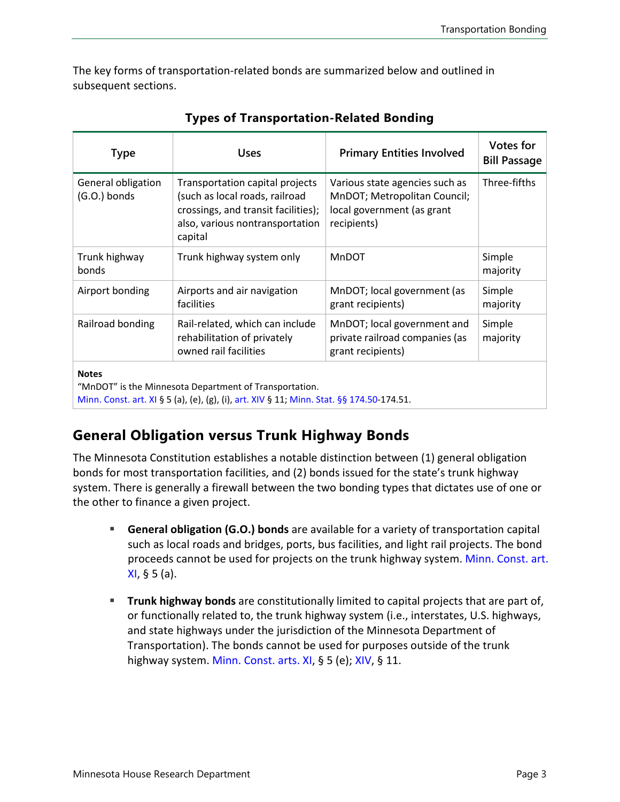The key forms of transportation-related bonds are summarized below and outlined in subsequent sections.

| <b>Type</b>                        | <b>Uses</b>                                                                                                                                            | <b>Primary Entities Involved</b>                                                                            | Votes for<br><b>Bill Passage</b> |
|------------------------------------|--------------------------------------------------------------------------------------------------------------------------------------------------------|-------------------------------------------------------------------------------------------------------------|----------------------------------|
| General obligation<br>(G.O.) bonds | Transportation capital projects<br>(such as local roads, railroad<br>crossings, and transit facilities);<br>also, various nontransportation<br>capital | Various state agencies such as<br>MnDOT; Metropolitan Council;<br>local government (as grant<br>recipients) | Three-fifths                     |
| Trunk highway<br>bonds             | Trunk highway system only                                                                                                                              | <b>MnDOT</b>                                                                                                | Simple<br>majority               |
| Airport bonding                    | Airports and air navigation<br>facilities                                                                                                              | MnDOT; local government (as<br>grant recipients)                                                            | Simple<br>majority               |
| Railroad bonding                   | Rail-related, which can include<br>rehabilitation of privately<br>owned rail facilities                                                                | MnDOT; local government and<br>private railroad companies (as<br>grant recipients)                          | Simple<br>majority               |
| <b>Notes</b>                       | "MnDOT" is the Minnesota Department of Transportation.<br>Minn. Const. art. XI § 5 (a), (e), (g), (i), art. XIV § 11; Minn. Stat. §§ 174.50-174.51.    |                                                                                                             |                                  |

|  |  | <b>Types of Transportation-Related Bonding</b> |  |  |
|--|--|------------------------------------------------|--|--|
|--|--|------------------------------------------------|--|--|

## **General Obligation versus Trunk Highway Bonds**

The Minnesota Constitution establishes a notable distinction between (1) general obligation bonds for most transportation facilities, and (2) bonds issued for the state's trunk highway system. There is generally a firewall between the two bonding types that dictates use of one or the other to finance a given project.

- **General obligation (G.O.) bonds** are available for a variety of transportation capital such as local roads and bridges, ports, bus facilities, and light rail projects. The bond proceeds cannot be used for projects on the trunk highway system. Minn. [Const. art.](https://www.revisor.mn.gov/constitution/#article_11) [XI,](https://www.revisor.mn.gov/constitution/#article_11) § 5 (a).
- **Trunk highway bonds** are constitutionally limited to capital projects that are part of, or functionally related to, the trunk highway system (i.e., interstates, U.S. highways, and state highways under the jurisdiction of the Minnesota Department of Transportation). The bonds cannot be used for purposes outside of the trunk highway system. [Minn. Const. arts. XI,](https://www.revisor.mn.gov/constitution/#article_11) § 5 (e); [XIV,](https://www.revisor.mn.gov/constitution/#article_14) § 11.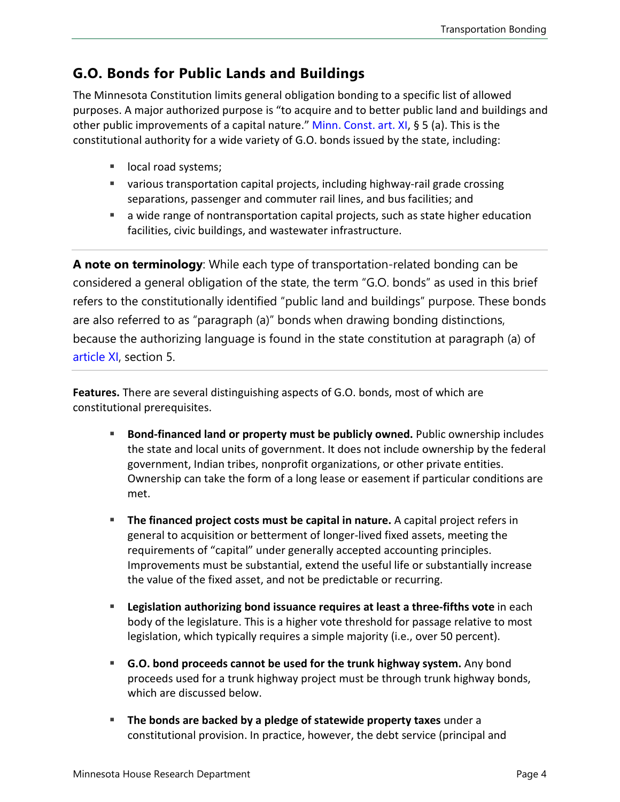### **G.O. Bonds for Public Lands and Buildings**

The Minnesota Constitution limits general obligation bonding to a specific list of allowed purposes. A major authorized purpose is "to acquire and to better public land and buildings and other public improvements of a capital nature." [Minn. Const. art. XI,](https://www.revisor.mn.gov/constitution/#article_11) § 5 (a). This is the constitutional authority for a wide variety of G.O. bonds issued by the state, including:

- **If** local road systems;
- various transportation capital projects, including highway-rail grade crossing separations, passenger and commuter rail lines, and bus facilities; and
- a wide range of nontransportation capital projects, such as state higher education facilities, civic buildings, and wastewater infrastructure.

**A note on terminology**: While each type of transportation-related bonding can be considered a general obligation of the state, the term "G.O. bonds" as used in this brief refers to the constitutionally identified "public land and buildings" purpose. These bonds are also referred to as "paragraph (a)" bonds when drawing bonding distinctions, because the authorizing language is found in the state constitution at paragraph (a) of [article XI](https://www.revisor.mn.gov/constitution/#article_11), section 5.

**Features.** There are several distinguishing aspects of G.O. bonds, most of which are constitutional prerequisites.

- **Bond-financed land or property must be publicly owned.** Public ownership includes the state and local units of government. It does not include ownership by the federal government, Indian tribes, nonprofit organizations, or other private entities. Ownership can take the form of a long lease or easement if particular conditions are met.
- **The financed project costs must be capital in nature.** A capital project refers in general to acquisition or betterment of longer-lived fixed assets, meeting the requirements of "capital" under generally accepted accounting principles. Improvements must be substantial, extend the useful life or substantially increase the value of the fixed asset, and not be predictable or recurring.
- **Legislation authorizing bond issuance requires at least a three-fifths vote** in each body of the legislature. This is a higher vote threshold for passage relative to most legislation, which typically requires a simple majority (i.e., over 50 percent).
- **G.O. bond proceeds cannot be used for the trunk highway system.** Any bond proceeds used for a trunk highway project must be through trunk highway bonds, which are discussed below.
- **The bonds are backed by a pledge of statewide property taxes** under a constitutional provision. In practice, however, the debt service (principal and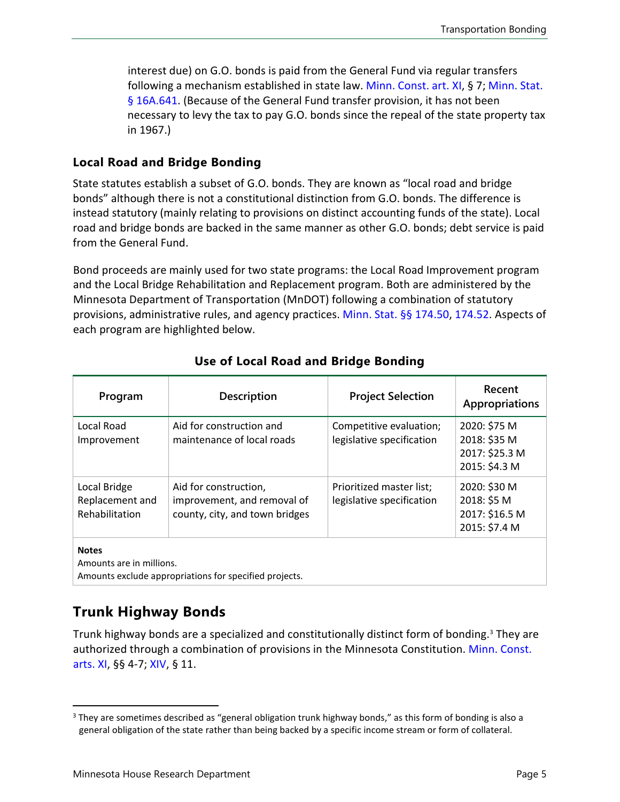interest due) on G.O. bonds is paid from the General Fund via regular transfers following a mechanism established in state law. [Minn. Const. art. XI,](https://www.revisor.mn.gov/constitution/#article_11) § 7; [Minn. Stat.](https://www.revisor.mn.gov/statutes/cite/16A.641) [§ 16A.641.](https://www.revisor.mn.gov/statutes/cite/16A.641) (Because of the General Fund transfer provision, it has not been necessary to levy the tax to pay G.O. bonds since the repeal of the state property tax in 1967.)

#### **Local Road and Bridge Bonding**

State statutes establish a subset of G.O. bonds. They are known as "local road and bridge bonds" although there is not a constitutional distinction from G.O. bonds. The difference is instead statutory (mainly relating to provisions on distinct accounting funds of the state). Local road and bridge bonds are backed in the same manner as other G.O. bonds; debt service is paid from the General Fund.

Bond proceeds are mainly used for two state programs: the Local Road Improvement program and the Local Bridge Rehabilitation and Replacement program. Both are administered by the Minnesota Department of Transportation (MnDOT) following a combination of statutory provisions, administrative rules, and agency practices. [Minn. Stat.](https://www.revisor.mn.gov/statutes/cite/174.50) §§ 174.50, [174.52](https://www.revisor.mn.gov/statutes/cite/174.52). Aspects of each program are highlighted below.

| Program                                           | Description                                                                            | <b>Project Selection</b>                              | Recent<br><b>Appropriations</b>                                 |
|---------------------------------------------------|----------------------------------------------------------------------------------------|-------------------------------------------------------|-----------------------------------------------------------------|
| Local Road<br>Improvement                         | Aid for construction and<br>maintenance of local roads                                 | Competitive evaluation;<br>legislative specification  | 2020: \$75 M<br>2018: \$35 M<br>2017: \$25.3 M<br>2015: \$4.3 M |
| Local Bridge<br>Replacement and<br>Rehabilitation | Aid for construction,<br>improvement, and removal of<br>county, city, and town bridges | Prioritized master list;<br>legislative specification | 2020: \$30 M<br>2018: \$5 M<br>2017: \$16.5 M<br>2015: \$7.4 M  |
| <b>Notes</b><br>Amounts are in millions.          |                                                                                        |                                                       |                                                                 |

#### **Use of Local Road and Bridge Bonding**

Amounts exclude appropriations for specified projects.

#### **Trunk Highway Bonds**

Trunk highway bonds are a specialized and constitutionally distinct form of bonding. [3](#page-4-0) They are authorized through a combination of provisions in the Minnesota Constitution. [Minn. Const.](https://www.revisor.mn.gov/constitution/#article_11)  [arts. XI,](https://www.revisor.mn.gov/constitution/#article_11) §§ 4-7; [XIV,](https://www.revisor.mn.gov/constitution/#article_14) § 11.

<span id="page-4-0"></span><sup>&</sup>lt;sup>3</sup> They are sometimes described as "general obligation trunk highway bonds," as this form of bonding is also a general obligation of the state rather than being backed by a specific income stream or form of collateral.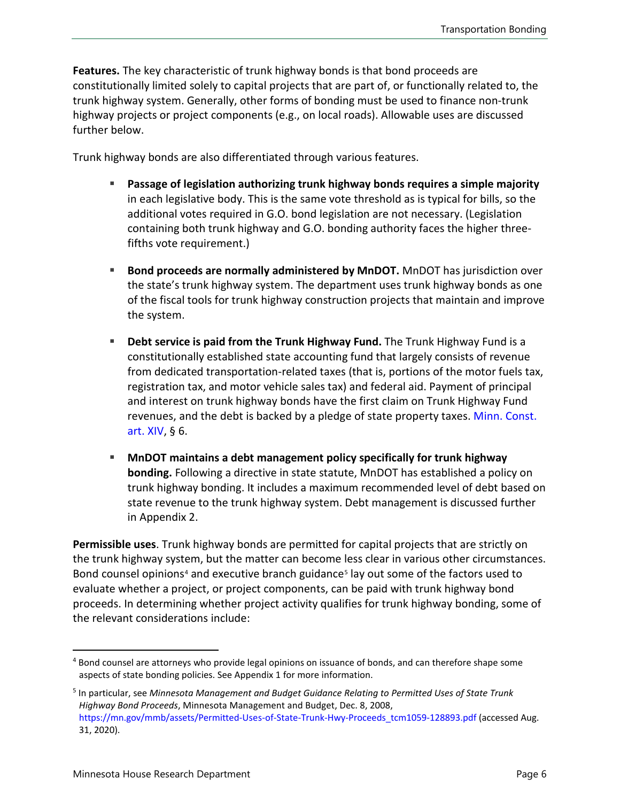**Features.** The key characteristic of trunk highway bonds is that bond proceeds are constitutionally limited solely to capital projects that are part of, or functionally related to, the trunk highway system. Generally, other forms of bonding must be used to finance non-trunk highway projects or project components (e.g., on local roads). Allowable uses are discussed further below.

Trunk highway bonds are also differentiated through various features.

- **Passage of legislation authorizing trunk highway bonds requires a simple majority** in each legislative body. This is the same vote threshold as is typical for bills, so the additional votes required in G.O. bond legislation are not necessary. (Legislation containing both trunk highway and G.O. bonding authority faces the higher threefifths vote requirement.)
- **Bond proceeds are normally administered by MnDOT.** MnDOT has jurisdiction over the state's trunk highway system. The department uses trunk highway bonds as one of the fiscal tools for trunk highway construction projects that maintain and improve the system.
- **Debt service is paid from the Trunk Highway Fund.** The Trunk Highway Fund is a constitutionally established state accounting fund that largely consists of revenue from dedicated transportation-related taxes (that is, portions of the motor fuels tax, registration tax, and motor vehicle sales tax) and federal aid. Payment of principal and interest on trunk highway bonds have the first claim on Trunk Highway Fund revenues, and the debt is backed by a pledge of state property taxes. [Minn. Const.](https://www.revisor.mn.gov/constitution/#article_14) [art. XIV,](https://www.revisor.mn.gov/constitution/#article_14) § 6.
- **MnDOT maintains a debt management policy specifically for trunk highway bonding.** Following a directive in state statute, MnDOT has established a policy on trunk highway bonding. It includes a maximum recommended level of debt based on state revenue to the trunk highway system. Debt management is discussed further in Appendix 2.

**Permissible uses**. Trunk highway bonds are permitted for capital projects that are strictly on the trunk highway system, but the matter can become less clear in various other circumstances. Bond counsel opinions<sup>[4](#page-5-0)</sup> and executive branch guidance<sup>[5](#page-5-1)</sup> lay out some of the factors used to evaluate whether a project, or project components, can be paid with trunk highway bond proceeds. In determining whether project activity qualifies for trunk highway bonding, some of the relevant considerations include:

<span id="page-5-0"></span><sup>&</sup>lt;sup>4</sup> Bond counsel are attorneys who provide legal opinions on issuance of bonds, and can therefore shape some aspects of state bonding policies. See Appendix 1 for more information.

<span id="page-5-1"></span><sup>5</sup> In particular, see *Minnesota Management and Budget Guidance Relating to Permitted Uses of State Trunk Highway Bond Proceeds*, Minnesota Management and Budget, Dec. 8, 2008, [https://mn.gov/mmb/assets/Permitted-Uses-of-State-Trunk-Hwy-Proceeds\\_tcm1059-128893.pdf](https://mn.gov/mmb/assets/Permitted-Uses-of-State-Trunk-Hwy-Proceeds_tcm1059-128893.pdf) (accessed Aug. 31, 2020).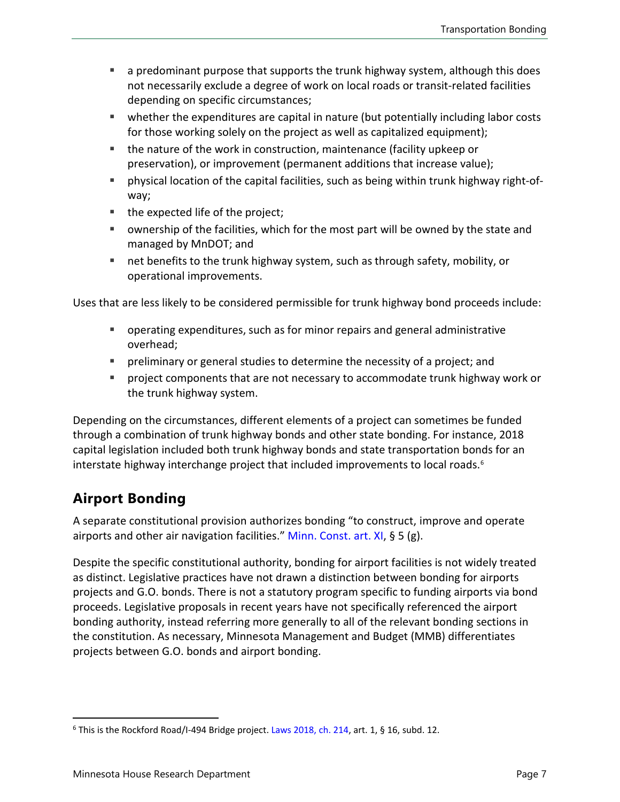- a predominant purpose that supports the trunk highway system, although this does not necessarily exclude a degree of work on local roads or transit-related facilities depending on specific circumstances;
- whether the expenditures are capital in nature (but potentially including labor costs for those working solely on the project as well as capitalized equipment);
- the nature of the work in construction, maintenance (facility upkeep or preservation), or improvement (permanent additions that increase value);
- physical location of the capital facilities, such as being within trunk highway right-ofway;
- the expected life of the project;
- ownership of the facilities, which for the most part will be owned by the state and managed by MnDOT; and
- net benefits to the trunk highway system, such as through safety, mobility, or operational improvements.

Uses that are less likely to be considered permissible for trunk highway bond proceeds include:

- operating expenditures, such as for minor repairs and general administrative overhead;
- preliminary or general studies to determine the necessity of a project; and
- project components that are not necessary to accommodate trunk highway work or the trunk highway system.

Depending on the circumstances, different elements of a project can sometimes be funded through a combination of trunk highway bonds and other state bonding. For instance, 2018 capital legislation included both trunk highway bonds and state transportation bonds for an interstate highway interchange project that included improvements to local roads.<sup>[6](#page-6-0)</sup>

## **Airport Bonding**

A separate constitutional provision authorizes bonding "to construct, improve and operate airports and other air navigation facilities." [Minn. Const. art. XI,](https://www.revisor.mn.gov/constitution/#article_11) § 5 (g).

Despite the specific constitutional authority, bonding for airport facilities is not widely treated as distinct. Legislative practices have not drawn a distinction between bonding for airports projects and G.O. bonds. There is not a statutory program specific to funding airports via bond proceeds. Legislative proposals in recent years have not specifically referenced the airport bonding authority, instead referring more generally to all of the relevant bonding sections in the constitution. As necessary, Minnesota Management and Budget (MMB) differentiates projects between G.O. bonds and airport bonding.

<span id="page-6-0"></span> $6$  This is the Rockford Road/I-494 Bridge project. [Laws 2018,](https://www.revisor.mn.gov/laws/2018/0/Session+Law/Chapter/214/) ch. 214, art. 1, § 16, subd. 12.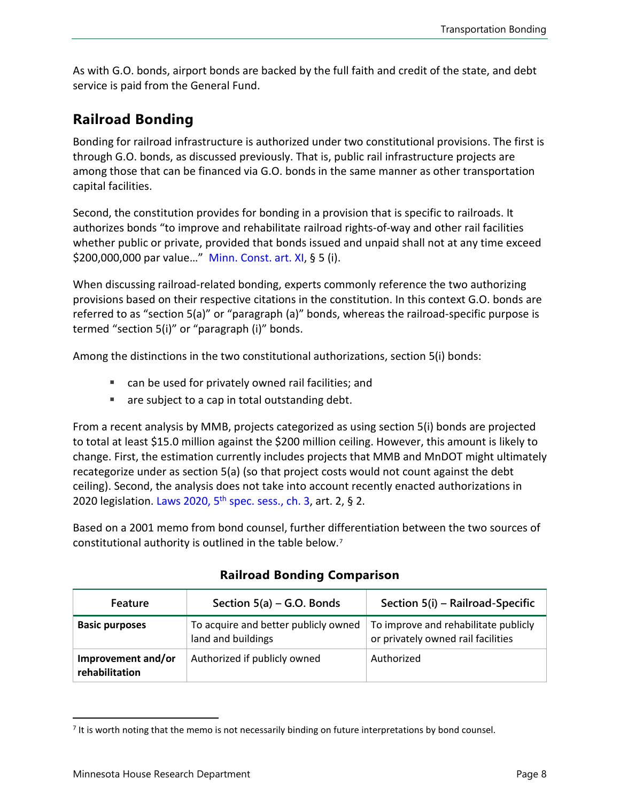As with G.O. bonds, airport bonds are backed by the full faith and credit of the state, and debt service is paid from the General Fund.

### **Railroad Bonding**

Bonding for railroad infrastructure is authorized under two constitutional provisions. The first is through G.O. bonds, as discussed previously. That is, public rail infrastructure projects are among those that can be financed via G.O. bonds in the same manner as other transportation capital facilities.

Second, the constitution provides for bonding in a provision that is specific to railroads. It authorizes bonds "to improve and rehabilitate railroad rights-of-way and other rail facilities whether public or private, provided that bonds issued and unpaid shall not at any time exceed \$200,000,000 par value…" [Minn. Const.](https://www.revisor.mn.gov/constitution/#article_11) art. XI, § 5 (i).

When discussing railroad-related bonding, experts commonly reference the two authorizing provisions based on their respective citations in the constitution. In this context G.O. bonds are referred to as "section 5(a)" or "paragraph (a)" bonds, whereas the railroad-specific purpose is termed "section 5(i)" or "paragraph (i)" bonds.

Among the distinctions in the two constitutional authorizations, section 5(i) bonds:

- can be used for privately owned rail facilities; and
- are subject to a cap in total outstanding debt.

From a recent analysis by MMB, projects categorized as using section 5(i) bonds are projected to total at least \$15.0 million against the \$200 million ceiling. However, this amount is likely to change. First, the estimation currently includes projects that MMB and MnDOT might ultimately recategorize under as section 5(a) (so that project costs would not count against the debt ceiling). Second, the analysis does not take into account recently enacted authorizations in 2020 legislation. Laws 2020,  $5<sup>th</sup>$  [spec. sess., ch. 3,](https://www.revisor.mn.gov/laws/2020/5/Session+Law/Chapter/3/) art. 2, § 2.

Based on a 2001 memo from bond counsel, further differentiation between the two sources of constitutional authority is outlined in the table below.[7](#page-7-0)

| Feature                              | Section $5(a)$ – G.O. Bonds                                | Section 5(i) – Railroad-Specific                                           |
|--------------------------------------|------------------------------------------------------------|----------------------------------------------------------------------------|
| <b>Basic purposes</b>                | To acquire and better publicly owned<br>land and buildings | To improve and rehabilitate publicly<br>or privately owned rail facilities |
| Improvement and/or<br>rehabilitation | Authorized if publicly owned                               | Authorized                                                                 |

#### **Railroad Bonding Comparison**

<span id="page-7-0"></span> $<sup>7</sup>$  It is worth noting that the memo is not necessarily binding on future interpretations by bond counsel.</sup>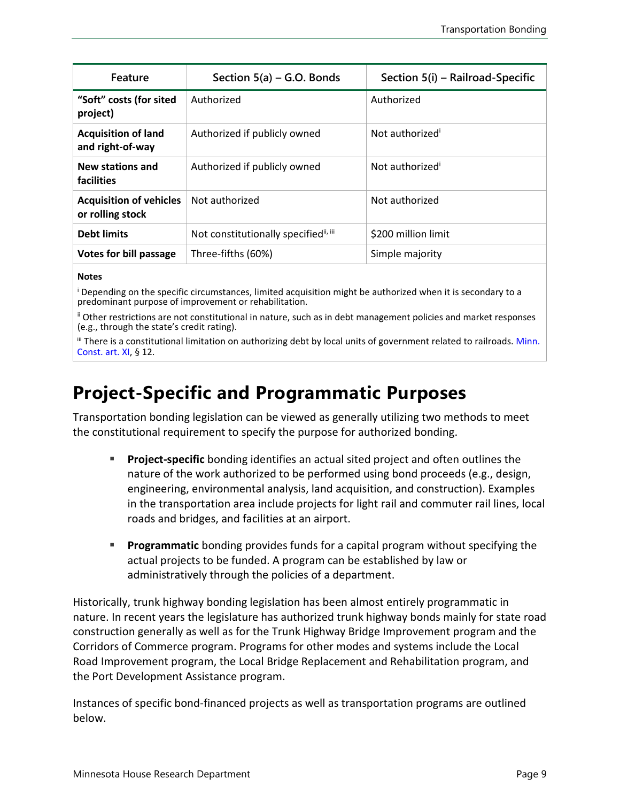| Feature                                            | Section $5(a)$ – G.O. Bonds                       | Section 5(i) - Railroad-Specific |
|----------------------------------------------------|---------------------------------------------------|----------------------------------|
| "Soft" costs (for sited<br>project)                | Authorized                                        | Authorized                       |
| <b>Acquisition of land</b><br>and right-of-way     | Authorized if publicly owned                      | Not authorized <sup>®</sup>      |
| <b>New stations and</b><br>facilities              | Authorized if publicly owned                      | Not authorized <sup>i</sup>      |
| <b>Acquisition of vehicles</b><br>or rolling stock | Not authorized                                    | Not authorized                   |
| <b>Debt limits</b>                                 | Not constitutionally specified <sup>ii, iii</sup> | \$200 million limit              |
| Votes for bill passage                             | Three-fifths (60%)                                | Simple majority                  |

#### **Notes**

<sup>i</sup> Depending on the specific circumstances, limited acquisition might be authorized when it is secondary to a predominant purpose of improvement or rehabilitation.

ii Other restrictions are not constitutional in nature, such as in debt management policies and market responses (e.g., through the state's credit rating).

iii There is a constitutional limitation on authorizing debt by local units of government related to railroads. Minn. [Const. art. XI,](https://www.revisor.mn.gov/constitution/#article_11) § 12.

# **Project-Specific and Programmatic Purposes**

Transportation bonding legislation can be viewed as generally utilizing two methods to meet the constitutional requirement to specify the purpose for authorized bonding.

- **Project-specific** bonding identifies an actual sited project and often outlines the nature of the work authorized to be performed using bond proceeds (e.g., design, engineering, environmental analysis, land acquisition, and construction). Examples in the transportation area include projects for light rail and commuter rail lines, local roads and bridges, and facilities at an airport.
- **Programmatic** bonding provides funds for a capital program without specifying the actual projects to be funded. A program can be established by law or administratively through the policies of a department.

Historically, trunk highway bonding legislation has been almost entirely programmatic in nature. In recent years the legislature has authorized trunk highway bonds mainly for state road construction generally as well as for the Trunk Highway Bridge Improvement program and the Corridors of Commerce program. Programs for other modes and systems include the Local Road Improvement program, the Local Bridge Replacement and Rehabilitation program, and the Port Development Assistance program.

Instances of specific bond-financed projects as well as transportation programs are outlined below.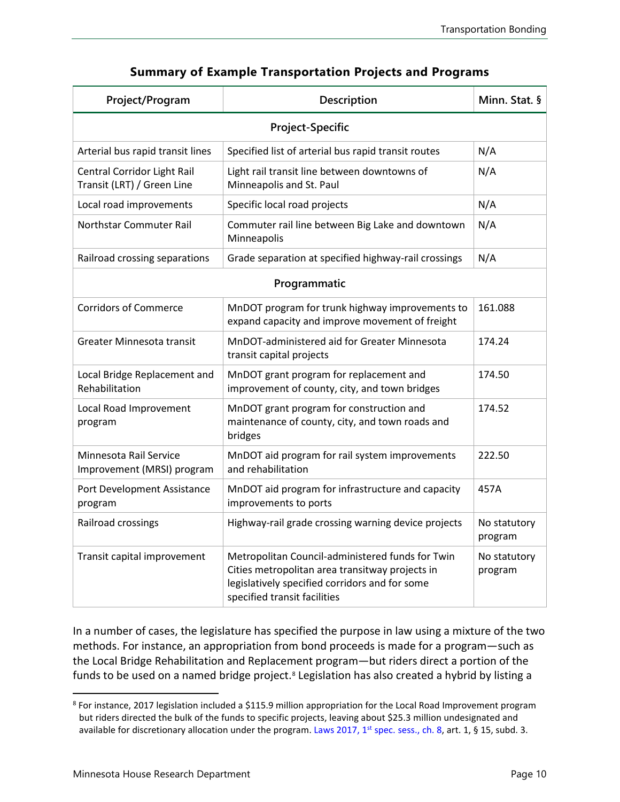| Project/Program                                           | Description                                                                                                                                                                           | Minn. Stat. §           |  |
|-----------------------------------------------------------|---------------------------------------------------------------------------------------------------------------------------------------------------------------------------------------|-------------------------|--|
| <b>Project-Specific</b>                                   |                                                                                                                                                                                       |                         |  |
| Arterial bus rapid transit lines                          | Specified list of arterial bus rapid transit routes                                                                                                                                   | N/A                     |  |
| Central Corridor Light Rail<br>Transit (LRT) / Green Line | Light rail transit line between downtowns of<br>Minneapolis and St. Paul                                                                                                              | N/A                     |  |
| Local road improvements                                   | Specific local road projects                                                                                                                                                          | N/A                     |  |
| Northstar Commuter Rail                                   | Commuter rail line between Big Lake and downtown<br>Minneapolis                                                                                                                       | N/A                     |  |
| Railroad crossing separations                             | Grade separation at specified highway-rail crossings                                                                                                                                  | N/A                     |  |
| Programmatic                                              |                                                                                                                                                                                       |                         |  |
| <b>Corridors of Commerce</b>                              | MnDOT program for trunk highway improvements to<br>expand capacity and improve movement of freight                                                                                    | 161.088                 |  |
| Greater Minnesota transit                                 | MnDOT-administered aid for Greater Minnesota<br>transit capital projects                                                                                                              | 174.24                  |  |
| Local Bridge Replacement and<br>Rehabilitation            | MnDOT grant program for replacement and<br>improvement of county, city, and town bridges                                                                                              | 174.50                  |  |
| Local Road Improvement<br>program                         | MnDOT grant program for construction and<br>maintenance of county, city, and town roads and<br>bridges                                                                                | 174.52                  |  |
| Minnesota Rail Service<br>Improvement (MRSI) program      | MnDOT aid program for rail system improvements<br>and rehabilitation                                                                                                                  | 222.50                  |  |
| Port Development Assistance<br>program                    | MnDOT aid program for infrastructure and capacity<br>improvements to ports                                                                                                            | 457A                    |  |
| Railroad crossings                                        | Highway-rail grade crossing warning device projects                                                                                                                                   | No statutory<br>program |  |
| Transit capital improvement                               | Metropolitan Council-administered funds for Twin<br>Cities metropolitan area transitway projects in<br>legislatively specified corridors and for some<br>specified transit facilities | No statutory<br>program |  |

#### **Summary of Example Transportation Projects and Programs**

In a number of cases, the legislature has specified the purpose in law using a mixture of the two methods. For instance, an appropriation from bond proceeds is made for a program—such as the Local Bridge Rehabilitation and Replacement program—but riders direct a portion of the funds to be used on a named bridge project.<sup>[8](#page-9-0)</sup> Legislation has also created a hybrid by listing a

<span id="page-9-0"></span><sup>8</sup> For instance, 2017 legislation included a \$115.9 million appropriation for the Local Road Improvement program but riders directed the bulk of the funds to specific projects, leaving about \$25.3 million undesignated and available for discretionary allocation under the program. Laws 2017,  $1<sup>st</sup>$  [spec. sess., ch. 8,](https://www.revisor.mn.gov/laws/2017/1/Session+Law/Chapter/8/) art. 1, § 15, subd. 3.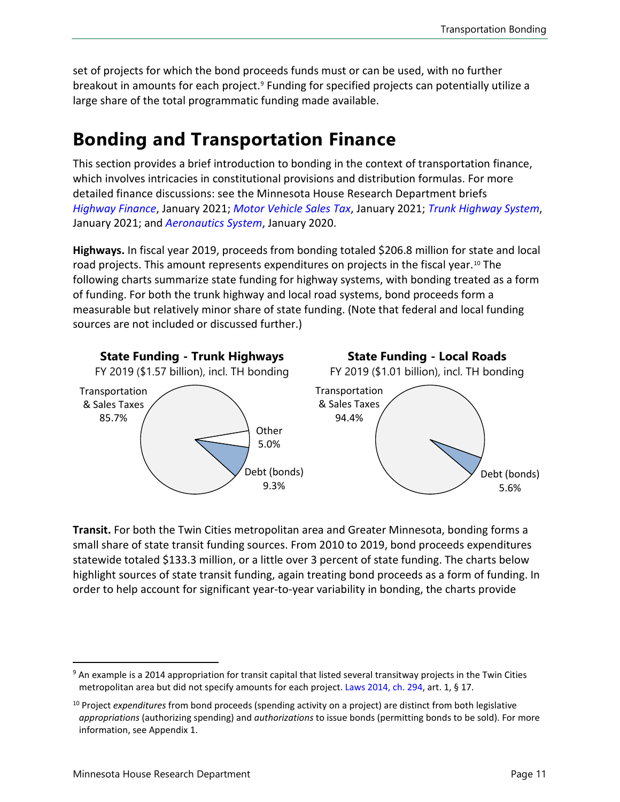set of projects for which the bond proceeds funds must or can be used, with no further breakout in amounts for each project.<sup>[9](#page-10-0)</sup> Funding for specified projects can potentially utilize a large share of the total programmatic funding made available.

# **Bonding and Transportation Finance**

This section provides a brief introduction to bonding in the context of transportation finance, which involves intricacies in constitutional provisions and distribution formulas. For more detailed finance discussions: see the Minnesota House Research Department briefs *[Highway Finance](https://www.house.leg.state.mn.us/hrd/pubs/hwyfin.pdf)*, January 2021; *[Motor Vehicle Sales Tax](https://www.house.leg.state.mn.us/hrd/pubs/ss/ssmvst.pdf)*, January 2021; *[Trunk Highway System](https://www.house.leg.state.mn.us/hrd/pubs/ss/ssthf.pdf)*, January 2021; and *[Aeronautics System](https://www.house.leg.state.mn.us/hrd/pubs/ss/ssaero.pdf)*, January 2020.

**Highways.** In fiscal year 2019, proceeds from bonding totaled \$206.8 million for state and local road projects. This amount represents expenditures on projects in the fiscal year.<sup>[10](#page-10-1)</sup> The following charts summarize state funding for highway systems, with bonding treated as a form of funding. For both the trunk highway and local road systems, bond proceeds form a measurable but relatively minor share of state funding. (Note that federal and local funding sources are not included or discussed further.)



**Transit.** For both the Twin Cities metropolitan area and Greater Minnesota, bonding forms a small share of state transit funding sources. From 2010 to 2019, bond proceeds expenditures statewide totaled \$133.3 million, or a little over 3 percent of state funding. The charts below highlight sources of state transit funding, again treating bond proceeds as a form of funding. In order to help account for significant year-to-year variability in bonding, the charts provide

<span id="page-10-0"></span><sup>&</sup>lt;sup>9</sup> An example is a 2014 appropriation for transit capital that listed several transitway projects in the Twin Cities metropolitan area but did not specify amounts for each project. [Laws 2014, ch. 294,](https://www.revisor.mn.gov/laws/2014/0/Session+Law/Chapter/294/) art. 1, § 17.

<span id="page-10-1"></span><sup>10</sup> Project *expenditures* from bond proceeds (spending activity on a project) are distinct from both legislative *appropriations* (authorizing spending) and *authorizations* to issue bonds (permitting bonds to be sold). For more information, see Appendix 1.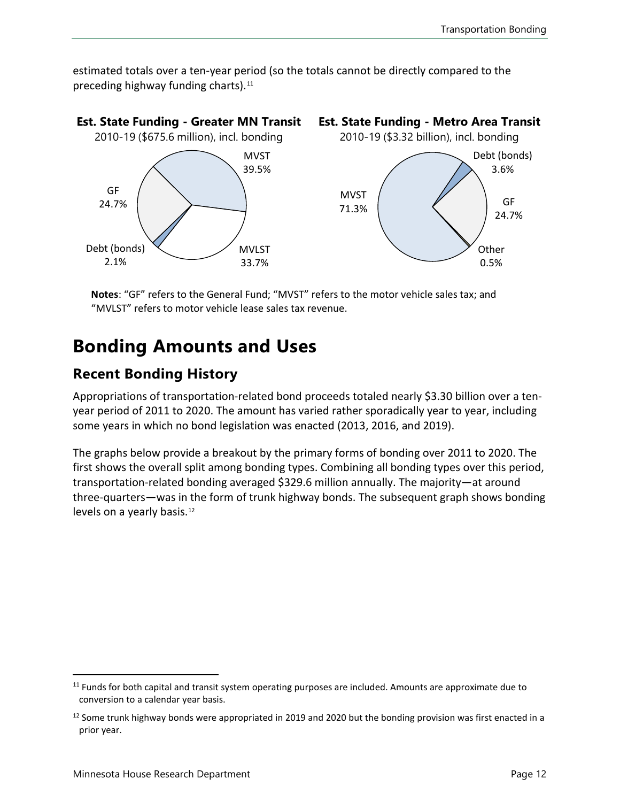estimated totals over a ten-year period (so the totals cannot be directly compared to the preceding highway funding charts).<sup>[11](#page-11-0)</sup>



**Notes**: "GF" refers to the General Fund; "MVST" refers to the motor vehicle sales tax; and "MVLST" refers to motor vehicle lease sales tax revenue.

# **Bonding Amounts and Uses**

### **Recent Bonding History**

Appropriations of transportation-related bond proceeds totaled nearly \$3.30 billion over a tenyear period of 2011 to 2020. The amount has varied rather sporadically year to year, including some years in which no bond legislation was enacted (2013, 2016, and 2019).

The graphs below provide a breakout by the primary forms of bonding over 2011 to 2020. The first shows the overall split among bonding types. Combining all bonding types over this period, transportation-related bonding averaged \$329.6 million annually. The majority—at around three-quarters—was in the form of trunk highway bonds. The subsequent graph shows bonding levels on a yearly basis.<sup>[12](#page-11-1)</sup>

<span id="page-11-0"></span><sup>&</sup>lt;sup>11</sup> Funds for both capital and transit system operating purposes are included. Amounts are approximate due to conversion to a calendar year basis.

<span id="page-11-1"></span><sup>&</sup>lt;sup>12</sup> Some trunk highway bonds were appropriated in 2019 and 2020 but the bonding provision was first enacted in a prior year.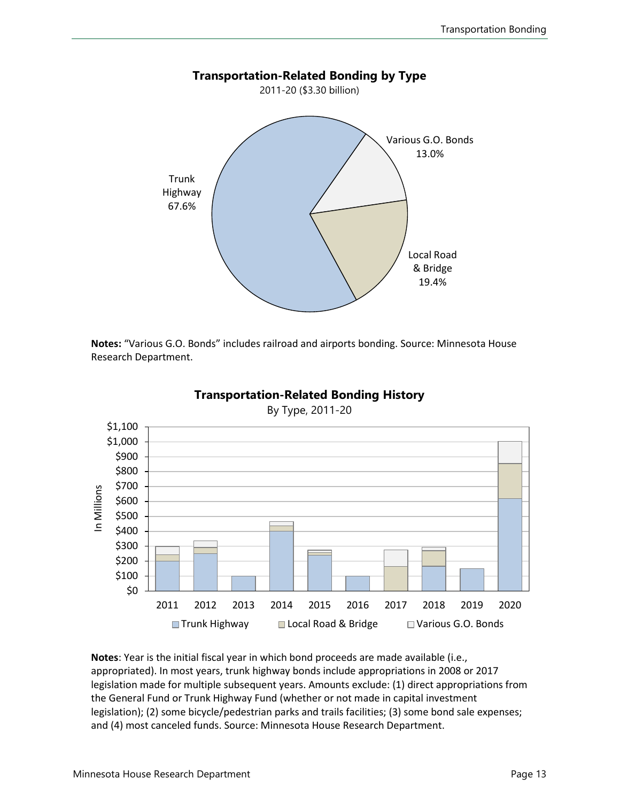

**Notes:** "Various G.O. Bonds" includes railroad and airports bonding. Source: Minnesota House Research Department.



**Transportation-Related Bonding History**

**Notes**: Year is the initial fiscal year in which bond proceeds are made available (i.e., appropriated). In most years, trunk highway bonds include appropriations in 2008 or 2017 legislation made for multiple subsequent years. Amounts exclude: (1) direct appropriations from the General Fund or Trunk Highway Fund (whether or not made in capital investment legislation); (2) some bicycle/pedestrian parks and trails facilities; (3) some bond sale expenses; and (4) most canceled funds. Source: Minnesota House Research Department.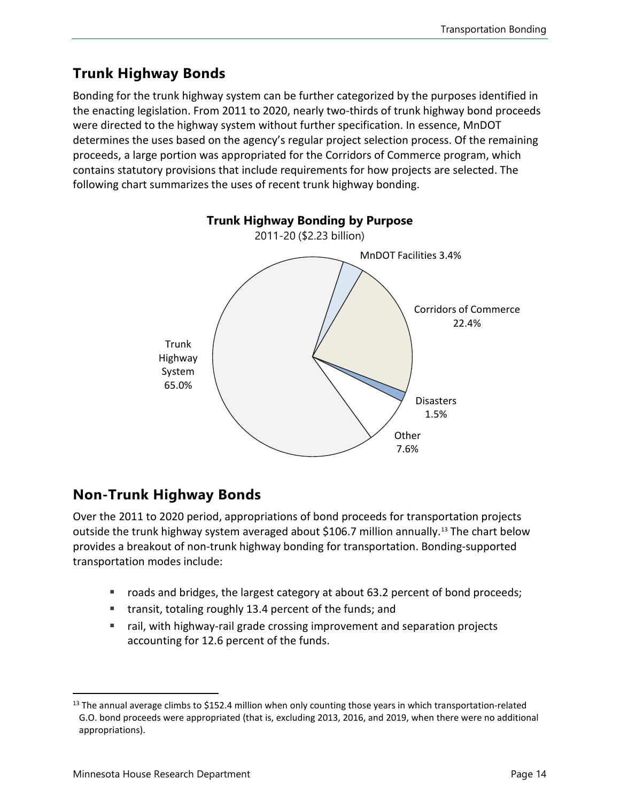## **Trunk Highway Bonds**

Bonding for the trunk highway system can be further categorized by the purposes identified in the enacting legislation. From 2011 to 2020, nearly two-thirds of trunk highway bond proceeds were directed to the highway system without further specification. In essence, MnDOT determines the uses based on the agency's regular project selection process. Of the remaining proceeds, a large portion was appropriated for the Corridors of Commerce program, which contains statutory provisions that include requirements for how projects are selected. The following chart summarizes the uses of recent trunk highway bonding.



## **Non-Trunk Highway Bonds**

Over the 2011 to 2020 period, appropriations of bond proceeds for transportation projects outside the trunk highway system averaged about \$106.7 million annually. [13](#page-13-0) The chart below provides a breakout of non-trunk highway bonding for transportation. Bonding-supported transportation modes include:

- roads and bridges, the largest category at about 63.2 percent of bond proceeds;
- transit, totaling roughly 13.4 percent of the funds; and
- rail, with highway-rail grade crossing improvement and separation projects accounting for 12.6 percent of the funds.

<span id="page-13-0"></span> $13$  The annual average climbs to \$152.4 million when only counting those years in which transportation-related G.O. bond proceeds were appropriated (that is, excluding 2013, 2016, and 2019, when there were no additional appropriations).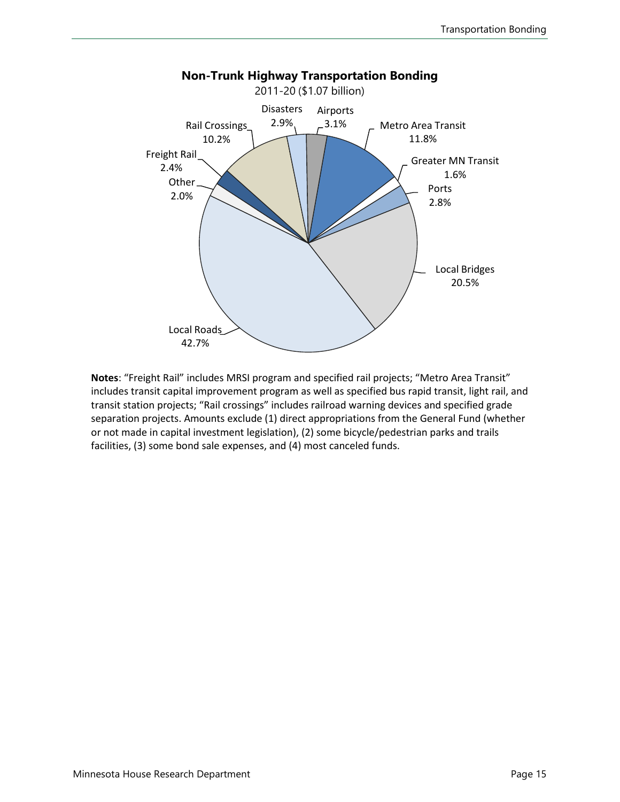

**Notes**: "Freight Rail" includes MRSI program and specified rail projects; "Metro Area Transit" includes transit capital improvement program as well as specified bus rapid transit, light rail, and transit station projects; "Rail crossings" includes railroad warning devices and specified grade separation projects. Amounts exclude (1) direct appropriations from the General Fund (whether or not made in capital investment legislation), (2) some bicycle/pedestrian parks and trails facilities, (3) some bond sale expenses, and (4) most canceled funds.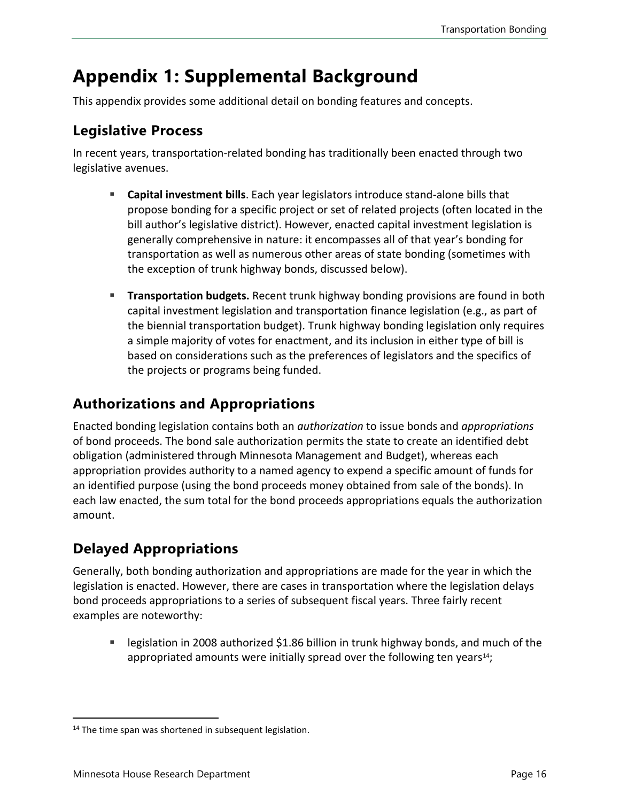# **Appendix 1: Supplemental Background**

This appendix provides some additional detail on bonding features and concepts.

#### **Legislative Process**

In recent years, transportation-related bonding has traditionally been enacted through two legislative avenues.

- **Capital investment bills**. Each year legislators introduce stand-alone bills that propose bonding for a specific project or set of related projects (often located in the bill author's legislative district). However, enacted capital investment legislation is generally comprehensive in nature: it encompasses all of that year's bonding for transportation as well as numerous other areas of state bonding (sometimes with the exception of trunk highway bonds, discussed below).
- **Transportation budgets.** Recent trunk highway bonding provisions are found in both capital investment legislation and transportation finance legislation (e.g., as part of the biennial transportation budget). Trunk highway bonding legislation only requires a simple majority of votes for enactment, and its inclusion in either type of bill is based on considerations such as the preferences of legislators and the specifics of the projects or programs being funded.

### **Authorizations and Appropriations**

Enacted bonding legislation contains both an *authorization* to issue bonds and *appropriations* of bond proceeds. The bond sale authorization permits the state to create an identified debt obligation (administered through Minnesota Management and Budget), whereas each appropriation provides authority to a named agency to expend a specific amount of funds for an identified purpose (using the bond proceeds money obtained from sale of the bonds). In each law enacted, the sum total for the bond proceeds appropriations equals the authorization amount.

## **Delayed Appropriations**

Generally, both bonding authorization and appropriations are made for the year in which the legislation is enacted. However, there are cases in transportation where the legislation delays bond proceeds appropriations to a series of subsequent fiscal years. Three fairly recent examples are noteworthy:

**Example 3** begislation in 2008 authorized \$1.86 billion in trunk highway bonds, and much of the appropriated amounts were initially spread over the following ten years $^{14}$  $^{14}$  $^{14}$ ;

<span id="page-15-0"></span><sup>&</sup>lt;sup>14</sup> The time span was shortened in subsequent legislation.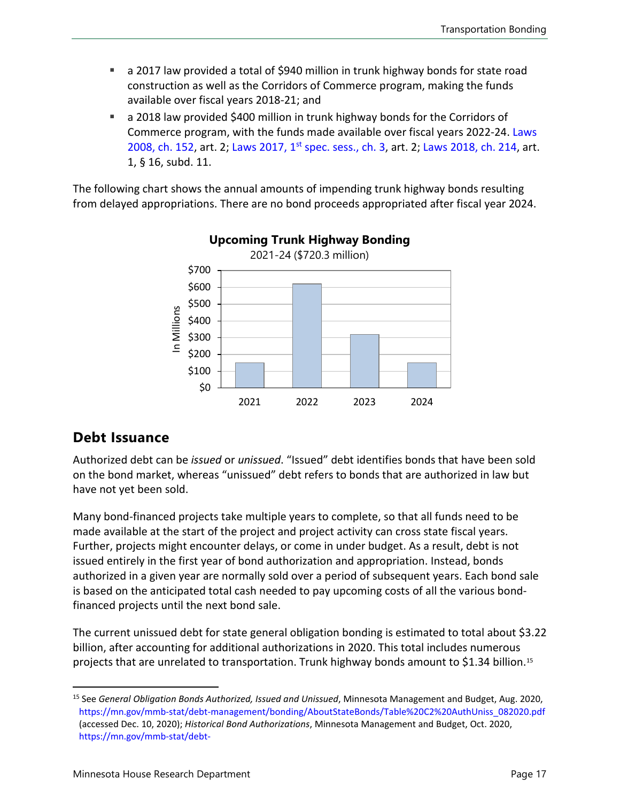- a 2017 law provided a total of \$940 million in trunk highway bonds for state road construction as well as the Corridors of Commerce program, making the funds available over fiscal years 2018-21; and
- a 2018 law provided \$400 million in trunk highway bonds for the Corridors of Commerce program, with the funds made available over fiscal years 2022-24. [Laws](https://www.revisor.mn.gov/laws/2008/0/Session+Law/Chapter/152/) [2008, ch. 152,](https://www.revisor.mn.gov/laws/2008/0/Session+Law/Chapter/152/) art. 2; Laws 2017, 1<sup>st</sup> [spec. sess., ch. 3,](https://www.revisor.mn.gov/laws/2017/1/Session+Law/Chapter/3/) art. 2; [Laws 2018, ch. 214,](https://www.revisor.mn.gov/laws/2018/0/Session+Law/Chapter/214/) art. 1, § 16, subd. 11.

The following chart shows the annual amounts of impending trunk highway bonds resulting from delayed appropriations. There are no bond proceeds appropriated after fiscal year 2024.



### **Upcoming Trunk Highway Bonding**

### **Debt Issuance**

Authorized debt can be *issued* or *unissued*. "Issued" debt identifies bonds that have been sold on the bond market, whereas "unissued" debt refers to bonds that are authorized in law but have not yet been sold.

Many bond-financed projects take multiple years to complete, so that all funds need to be made available at the start of the project and project activity can cross state fiscal years. Further, projects might encounter delays, or come in under budget. As a result, debt is not issued entirely in the first year of bond authorization and appropriation. Instead, bonds authorized in a given year are normally sold over a period of subsequent years. Each bond sale is based on the anticipated total cash needed to pay upcoming costs of all the various bondfinanced projects until the next bond sale.

The current unissued debt for state general obligation bonding is estimated to total about \$3.22 billion, after accounting for additional authorizations in 2020. This total includes numerous projects that are unrelated to transportation. Trunk highway bonds amount to \$1.34 billion.<sup>[15](#page-16-0)</sup>

<span id="page-16-0"></span><sup>15</sup> See *General Obligation Bonds Authorized, Issued and Unissued*, Minnesota Management and Budget, Aug. 2020, https://mn.gov/mmb-stat/debt-management/bonding/AboutStateBonds/Table%20C2%20AuthUniss\_082020.pdf (accessed Dec. 10, 2020); *Historical Bond Authorizations*, Minnesota Management and Budget, Oct. 2020, [https://mn.gov/mmb-stat/debt-](https://mn.gov/mmb-stat/debt-management/Capital%20Projects/Bond%20Authorizations/Bond%20Authorizations%20Historic%20Ave102020.pdf)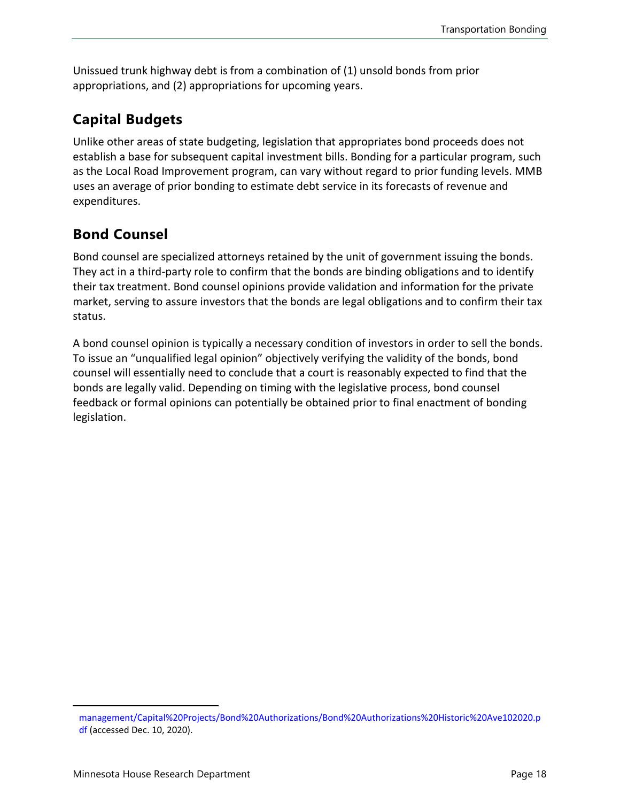Unissued trunk highway debt is from a combination of (1) unsold bonds from prior appropriations, and (2) appropriations for upcoming years.

### **Capital Budgets**

Unlike other areas of state budgeting, legislation that appropriates bond proceeds does not establish a base for subsequent capital investment bills. Bonding for a particular program, such as the Local Road Improvement program, can vary without regard to prior funding levels. MMB uses an average of prior bonding to estimate debt service in its forecasts of revenue and expenditures.

### **Bond Counsel**

Bond counsel are specialized attorneys retained by the unit of government issuing the bonds. They act in a third-party role to confirm that the bonds are binding obligations and to identify their tax treatment. Bond counsel opinions provide validation and information for the private market, serving to assure investors that the bonds are legal obligations and to confirm their tax status.

A bond counsel opinion is typically a necessary condition of investors in order to sell the bonds. To issue an "unqualified legal opinion" objectively verifying the validity of the bonds, bond counsel will essentially need to conclude that a court is reasonably expected to find that the bonds are legally valid. Depending on timing with the legislative process, bond counsel feedback or formal opinions can potentially be obtained prior to final enactment of bonding legislation.

[management/Capital%20Projects/Bond%20Authorizations/Bond%20Authorizations%20Historic%20Ave102020.p](https://mn.gov/mmb-stat/debt-management/Capital%20Projects/Bond%20Authorizations/Bond%20Authorizations%20Historic%20Ave102020.pdf) [df](https://mn.gov/mmb-stat/debt-management/Capital%20Projects/Bond%20Authorizations/Bond%20Authorizations%20Historic%20Ave102020.pdf) (accessed Dec. 10, 2020).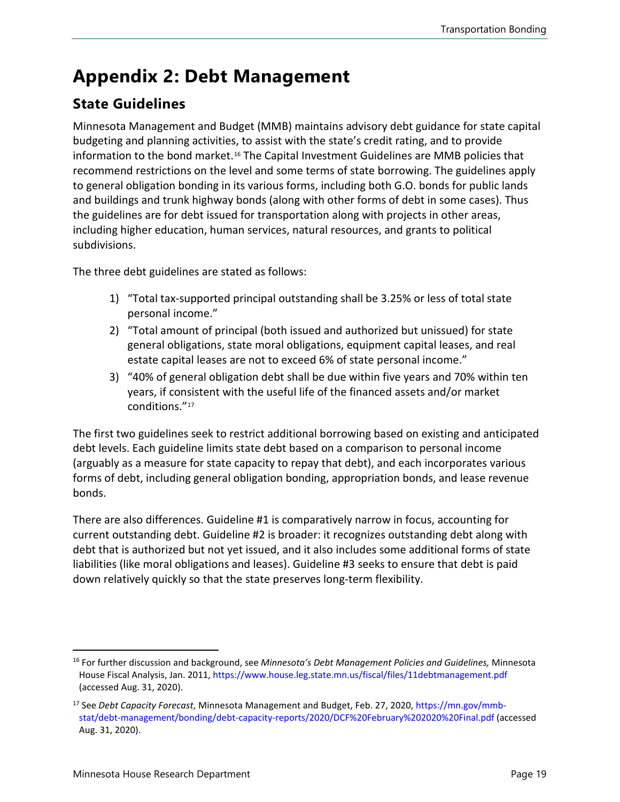# **Appendix 2: Debt Management**

### **State Guidelines**

Minnesota Management and Budget (MMB) maintains advisory debt guidance for state capital budgeting and planning activities, to assist with the state's credit rating, and to provide information to the bond market.[16](#page-18-0) The Capital Investment Guidelines are MMB policies that recommend restrictions on the level and some terms of state borrowing. The guidelines apply to general obligation bonding in its various forms, including both G.O. bonds for public lands and buildings and trunk highway bonds (along with other forms of debt in some cases). Thus the guidelines are for debt issued for transportation along with projects in other areas, including higher education, human services, natural resources, and grants to political subdivisions.

The three debt guidelines are stated as follows:

- 1) "Total tax-supported principal outstanding shall be 3.25% or less of total state personal income."
- 2) "Total amount of principal (both issued and authorized but unissued) for state general obligations, state moral obligations, equipment capital leases, and real estate capital leases are not to exceed 6% of state personal income."
- 3) "40% of general obligation debt shall be due within five years and 70% within ten years, if consistent with the useful life of the financed assets and/or market conditions.["17](#page-18-1)

The first two guidelines seek to restrict additional borrowing based on existing and anticipated debt levels. Each guideline limits state debt based on a comparison to personal income (arguably as a measure for state capacity to repay that debt), and each incorporates various forms of debt, including general obligation bonding, appropriation bonds, and lease revenue bonds.

There are also differences. Guideline #1 is comparatively narrow in focus, accounting for current outstanding debt. Guideline #2 is broader: it recognizes outstanding debt along with debt that is authorized but not yet issued, and it also includes some additional forms of state liabilities (like moral obligations and leases). Guideline #3 seeks to ensure that debt is paid down relatively quickly so that the state preserves long-term flexibility.

<span id="page-18-0"></span><sup>16</sup> For further discussion and background, see *Minnesota's Debt Management Policies and Guidelines,* Minnesota House Fiscal Analysis, Jan. 2011, https://www.house.leg.state.mn.us/fiscal/files/11debtmanagement.pdf (accessed Aug. 31, 2020).

<span id="page-18-1"></span><sup>17</sup> See *Debt Capacity Forecast*, Minnesota Management and Budget, Feb. 27, 2020, https://mn.gov/mmbstat/debt-management/bonding/debt-capacity-reports/2020/DCF%20February%202020%20Final.pdf (accessed Aug. 31, 2020).